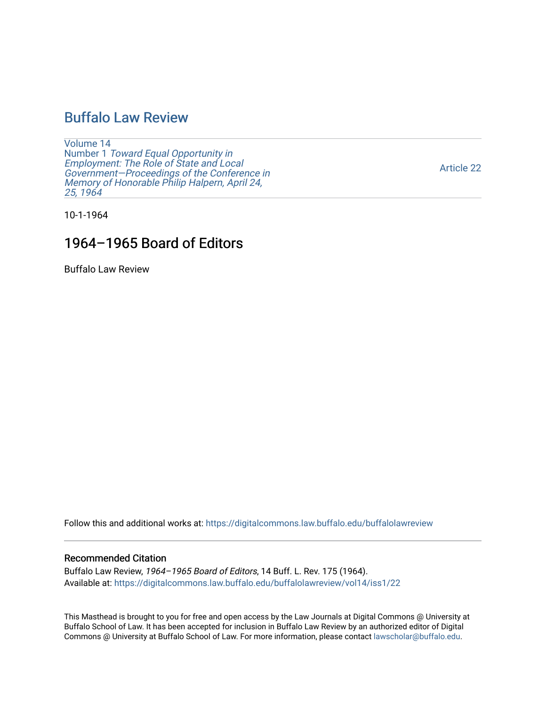## [Buffalo Law Review](https://digitalcommons.law.buffalo.edu/buffalolawreview)

[Volume 14](https://digitalcommons.law.buffalo.edu/buffalolawreview/vol14) Number 1 [Toward Equal Opportunity in](https://digitalcommons.law.buffalo.edu/buffalolawreview/vol14/iss1)  [Employment: The Role of State and Local](https://digitalcommons.law.buffalo.edu/buffalolawreview/vol14/iss1)  [Government—Proceedings of the Conference in](https://digitalcommons.law.buffalo.edu/buffalolawreview/vol14/iss1)  [Memory of Honorable Philip Halpern, April 24,](https://digitalcommons.law.buffalo.edu/buffalolawreview/vol14/iss1)  [25, 1964](https://digitalcommons.law.buffalo.edu/buffalolawreview/vol14/iss1) 

[Article 22](https://digitalcommons.law.buffalo.edu/buffalolawreview/vol14/iss1/22) 

10-1-1964

## 1964–1965 Board of Editors

Buffalo Law Review

Follow this and additional works at: [https://digitalcommons.law.buffalo.edu/buffalolawreview](https://digitalcommons.law.buffalo.edu/buffalolawreview?utm_source=digitalcommons.law.buffalo.edu%2Fbuffalolawreview%2Fvol14%2Fiss1%2F22&utm_medium=PDF&utm_campaign=PDFCoverPages) 

#### Recommended Citation

Buffalo Law Review, 1964–1965 Board of Editors, 14 Buff. L. Rev. 175 (1964). Available at: [https://digitalcommons.law.buffalo.edu/buffalolawreview/vol14/iss1/22](https://digitalcommons.law.buffalo.edu/buffalolawreview/vol14/iss1/22?utm_source=digitalcommons.law.buffalo.edu%2Fbuffalolawreview%2Fvol14%2Fiss1%2F22&utm_medium=PDF&utm_campaign=PDFCoverPages)

This Masthead is brought to you for free and open access by the Law Journals at Digital Commons @ University at Buffalo School of Law. It has been accepted for inclusion in Buffalo Law Review by an authorized editor of Digital Commons @ University at Buffalo School of Law. For more information, please contact [lawscholar@buffalo.edu](mailto:lawscholar@buffalo.edu).